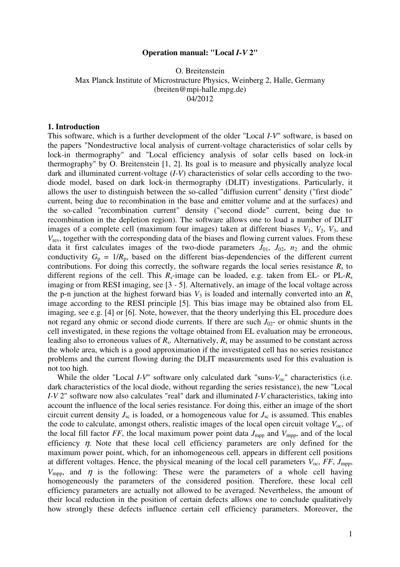# **Operation manual: "Local** *I-V* **2"**

O. Breitenstein Max Planck Institute of Microstructure Physics, Weinberg 2, Halle, Germany (breiten@mpi-halle.mpg.de) 04/2012

## **1. Introduction**

This software, which is a further development of the older "Local *I-V*" software, is based on the papers "Nondestructive local analysis of current-voltage characteristics of solar cells by lock-in thermography" and "Local efficiency analysis of solar cells based on lock-in thermography" by O. Breitenstein [1, 2]. Its goal is to measure and physically analyze local dark and illuminated current-voltage (*I-V*) characteristics of solar cells according to the twodiode model, based on dark lock-in thermography (DLIT) investigations. Particularly, it allows the user to distinguish between the so-called "diffusion current" density ("first diode" current, being due to recombination in the base and emitter volume and at the surfaces) and the so-called "recombination current" density ("second diode" current, being due to recombination in the depletion region). The software allows one to load a number of DLIT images of a complete cell (maximum four images) taken at different biases  $V_1$ ,  $V_2$ ,  $V_3$ , and *V*rev, together with the corresponding data of the biases and flowing current values. From these data it first calculates images of the two-diode parameters  $J_{01}$ ,  $J_{02}$ ,  $n_2$  and the ohmic conductivity  $G_p = 1/R_p$ , based on the different bias-dependencies of the different current contributions. For doing this correctly, the software regards the local series resistance  $R<sub>s</sub>$  to different regions of the cell. This  $R_s$ -image can be loaded, e.g. taken from EL- or PL- $R_s$ imaging or from RESI imaging, see [3 - 5]. Alternatively, an image of the local voltage across the p-n junction at the highest forward bias  $V_3$  is loaded and internally converted into an  $R_s$ image according to the RESI principle [5]. This bias image may be obtained also from EL imaging, see e.g. [4] or [6]. Note, however, that the theory underlying this EL procedure does not regard any ohmic or second diode currents. If there are such  $J_{02}$ - or ohmic shunts in the cell investigated, in these regions the voltage obtained from EL evaluation may be erroneous, leading also to erroneous values of  $R_s$ . Alternatively,  $R_s$  may be assumed to be constant across the whole area, which is a good approximation if the investigated cell has no series resistance problems and the current flowing during the DLIT measurements used for this evaluation is not too high.

While the older "Local  $I-V$ " software only calculated dark "suns- $V_{oc}$ " characteristics (i.e. dark characteristics of the local diode, without regarding the series resistance), the new "Local *I-V* 2" software now also calculates "real" dark and illuminated *I-V* characteristics, taking into account the influence of the local series resistance. For doing this, either an image of the short circuit current density  $J_{\rm sc}$  is loaded, or a homogeneous value for  $J_{\rm sc}$  is assumed. This enables the code to calculate, amongst others, realistic images of the local open circuit voltage  $V_{\text{oc}}$ , of the local fill factor  $FF$ , the local maximum power point data  $J_{\text{mpp}}$  and  $V_{\text{mpp}}$ , and of the local efficiency  $\eta$ . Note that these local cell efficiency parameters are only defined for the maximum power point, which, for an inhomogeneous cell, appears in different cell positions at different voltages. Hence, the physical meaning of the local cell parameters  $V_{\text{oc}}$ ,  $FF$ ,  $J_{\text{mpp}}$ ,  $V_{\text{mpp}}$ , and  $\eta$  is the following: These were the parameters of a whole cell having homogeneously the parameters of the considered position. Therefore, these local cell efficiency parameters are actually not allowed to be averaged. Nevertheless, the amount of their local reduction in the position of certain defects allows one to conclude qualitatively how strongly these defects influence certain cell efficiency parameters. Moreover, the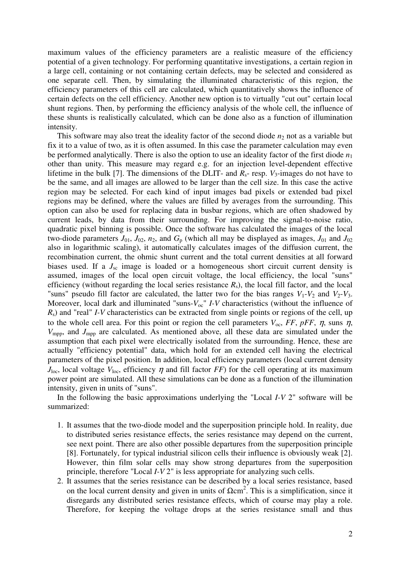maximum values of the efficiency parameters are a realistic measure of the efficiency potential of a given technology. For performing quantitative investigations, a certain region in a large cell, containing or not containing certain defects, may be selected and considered as one separate cell. Then, by simulating the illuminated characteristic of this region, the efficiency parameters of this cell are calculated, which quantitatively shows the influence of certain defects on the cell efficiency. Another new option is to virtually "cut out" certain local shunt regions. Then, by performing the efficiency analysis of the whole cell, the influence of these shunts is realistically calculated, which can be done also as a function of illumination intensity.

This software may also treat the ideality factor of the second diode  $n_2$  not as a variable but fix it to a value of two, as it is often assumed. In this case the parameter calculation may even be performed analytically. There is also the option to use an ideality factor of the first diode  $n_1$ other than unity. This measure may regard e.g. for an injection level-dependent effective lifetime in the bulk [7]. The dimensions of the DLIT- and  $R_s$ - resp.  $V_3$ -images do not have to be the same, and all images are allowed to be larger than the cell size. In this case the active region may be selected. For each kind of input images bad pixels or extended bad pixel regions may be defined, where the values are filled by averages from the surrounding. This option can also be used for replacing data in busbar regions, which are often shadowed by current leads, by data from their surrounding. For improving the signal-to-noise ratio, quadratic pixel binning is possible. Once the software has calculated the images of the local two-diode parameters  $J_{01}$ ,  $J_{02}$ ,  $n_2$ , and  $G_p$  (which all may be displayed as images,  $J_{01}$  and  $J_{02}$ also in logarithmic scaling), it automatically calculates images of the diffusion current, the recombination current, the ohmic shunt current and the total current densities at all forward biases used. If a  $J_{\rm sc}$  image is loaded or a homogeneous short circuit current density is assumed, images of the local open circuit voltage, the local efficiency, the local "suns" efficiency (without regarding the local series resistance  $R_s$ ), the local fill factor, and the local "suns" pseudo fill factor are calculated, the latter two for the bias ranges  $V_1$ - $V_2$  and  $V_2$ - $V_3$ . Moreover, local dark and illuminated "suns- $V_{\text{oc}}$ " *I-V* characteristics (without the influence of *R*s) and "real" *I-V* characteristics can be extracted from single points or regions of the cell, up to the whole cell area. For this point or region the cell parameters  $V_{\text{oc}}$ , *FF*, *pFF*, *n*, suns *n*, *V*mpp, and *J*mpp are calculated. As mentioned above, all these data are simulated under the assumption that each pixel were electrically isolated from the surrounding. Hence, these are actually "efficiency potential" data, which hold for an extended cell having the electrical parameters of the pixel position. In addition, local efficiency parameters (local current density  $J<sub>loc</sub>$ , local voltage  $V<sub>loc</sub>$ , efficiency  $\eta$  and fill factor *FF*) for the cell operating at its maximum power point are simulated. All these simulations can be done as a function of the illumination intensity, given in units of "suns".

In the following the basic approximations underlying the "Local *I-V* 2" software will be summarized:

- 1. It assumes that the two-diode model and the superposition principle hold. In reality, due to distributed series resistance effects, the series resistance may depend on the current, see next point. There are also other possible departures from the superposition principle [8]. Fortunately, for typical industrial silicon cells their influence is obviously weak [2]. However, thin film solar cells may show strong departures from the superposition principle, therefore "Local *I-V* 2" is less appropriate for analyzing such cells.
- 2. It assumes that the series resistance can be described by a local series resistance, based on the local current density and given in units of  $\Omega$ cm<sup>2</sup>. This is a simplification, since it disregards any distributed series resistance effects, which of course may play a role. Therefore, for keeping the voltage drops at the series resistance small and thus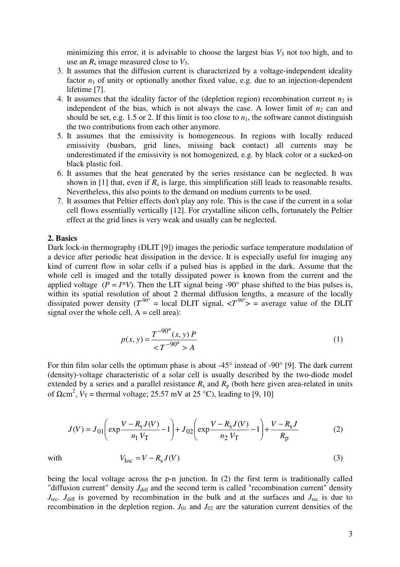minimizing this error, it is advisable to choose the largest bias  $V_3$  not too high, and to use an  $R_s$  image measured close to  $V_3$ .

- 3. It assumes that the diffusion current is characterized by a voltage-independent ideality factor  $n_1$  of unity or optionally another fixed value, e.g. due to an injection-dependent lifetime [7].
- 4. It assumes that the ideality factor of the (depletion region) recombination current  $n_2$  is independent of the bias, which is not always the case. A lower limit of  $n_2$  can and should be set, e.g. 1.5 or 2. If this limit is too close to  $n_1$ , the software cannot distinguish the two contributions from each other anymore.
- 5. It assumes that the emissivity is homogeneous. In regions with locally reduced emissivity (busbars, grid lines, missing back contact) all currents may be underestimated if the emissivity is not homogenized, e.g. by black color or a sucked-on black plastic foil.
- 6. It assumes that the heat generated by the series resistance can be neglected. It was shown in [1] that, even if  $R_s$  is large, this simplification still leads to reasonable results. Nevertheless, this also points to the demand on medium currents to be used.
- 7. It assumes that Peltier effects don't play any role. This is the case if the current in a solar cell flows essentially vertically [12]. For crystalline silicon cells, fortunately the Peltier effect at the grid lines is very weak and usually can be neglected.

## **2. Basics**

Dark lock-in thermography (DLIT [9]) images the periodic surface temperature modulation of a device after periodic heat dissipation in the device. It is especially useful for imaging any kind of current flow in solar cells if a pulsed bias is applied in the dark. Assume that the whole cell is imaged and the totally dissipated power is known from the current and the applied voltage ( $P = I^*V$ ). Then the LIT signal being -90° phase shifted to the bias pulses is, within its spatial resolution of about 2 thermal diffusion lengths, a measure of the locally dissipated power density ( $T^{90^{\circ}}$  = local DLIT signal,  $\langle T^{90^{\circ}} \rangle$  = average value of the DLIT signal over the whole cell,  $A = \text{cell area}$ :

$$
p(x, y) = \frac{T^{-90^{\circ}}(x, y) P}{\langle T^{-90^{\circ}} \rangle A}
$$
 (1)

For thin film solar cells the optimum phase is about -45° instead of -90° [9]. The dark current (density)-voltage characteristic of a solar cell is usually described by the two-diode model extended by a series and a parallel resistance  $R_s$  and  $R_p$  (both here given area-related in units of  $\Omega$ cm<sup>2</sup>,  $V_T$  = thermal voltage; 25.57 mV at 25 °C), leading to [9, 10]

$$
J(V) = J_{01}\left(\exp\frac{V - R_{\rm s}J(V)}{n_1 V_{\rm T}} - 1\right) + J_{02}\left(\exp\frac{V - R_{\rm s}J(V)}{n_2 V_{\rm T}} - 1\right) + \frac{V - R_{\rm s}J}{R_{\rm p}}
$$
(2)

with 
$$
V_{\text{loc}} = V - R_{\text{s}} J(V) \tag{3}
$$

being the local voltage across the p-n junction. In (2) the first term is traditionally called "diffusion current" density  $J_{\text{diff}}$  and the second term is called "recombination current" density  $J_{\text{rec}}$ .  $J_{\text{diff}}$  is governed by recombination in the bulk and at the surfaces and  $J_{\text{rec}}$  is due to recombination in the depletion region.  $J_{01}$  and  $J_{02}$  are the saturation current densities of the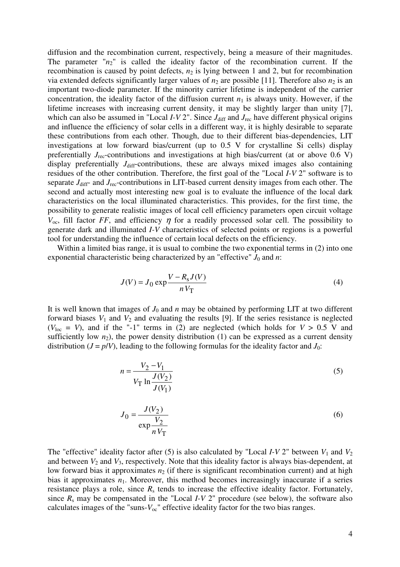diffusion and the recombination current, respectively, being a measure of their magnitudes. The parameter  $n_2$ " is called the ideality factor of the recombination current. If the recombination is caused by point defects,  $n_2$  is lying between 1 and 2, but for recombination via extended defects significantly larger values of  $n_2$  are possible [11]. Therefore also  $n_2$  is an important two-diode parameter. If the minority carrier lifetime is independent of the carrier concentration, the ideality factor of the diffusion current  $n_1$  is always unity. However, if the lifetime increases with increasing current density, it may be slightly larger than unity [7], which can also be assumed in "Local  $I-V2$ ". Since  $J_{\text{diff}}$  and  $J_{\text{rec}}$  have different physical origins and influence the efficiency of solar cells in a different way, it is highly desirable to separate these contributions from each other. Though, due to their different bias-dependencies, LIT investigations at low forward bias/current (up to 0.5 V for crystalline Si cells) display preferentially *J*<sub>rec</sub>-contributions and investigations at high bias/current (at or above 0.6 V) display preferentially *J*<sub>diff</sub>-contributions, these are always mixed images also containing residues of the other contribution. Therefore, the first goal of the "Local *I-V* 2" software is to separate  $J_{\text{diff}}$ - and  $J_{\text{rec}}$ -contributions in LIT-based current density images from each other. The second and actually most interesting new goal is to evaluate the influence of the local dark characteristics on the local illuminated characteristics. This provides, for the first time, the possibility to generate realistic images of local cell efficiency parameters open circuit voltage  $V_{\text{oc}}$ , fill factor *FF*, and efficiency  $\eta$  for a readily processed solar cell. The possibility to generate dark and illuminated *I-V* characteristics of selected points or regions is a powerful tool for understanding the influence of certain local defects on the efficiency.

Within a limited bias range, it is usual to combine the two exponential terms in (2) into one exponential characteristic being characterized by an "effective"  $J_0$  and  $n$ :

$$
J(V) = J_0 \exp \frac{V - R_s J(V)}{n V_{\text{T}}}
$$
(4)

It is well known that images of  $J_0$  and  $n$  may be obtained by performing LIT at two different forward biases  $V_1$  and  $V_2$  and evaluating the results [9]. If the series resistance is neglected  $(V<sub>loc</sub> = V)$ , and if the "-1" terms in (2) are neglected (which holds for  $V > 0.5$  V and sufficiently low  $n_2$ ), the power density distribution (1) can be expressed as a current density distribution ( $J = p/V$ ), leading to the following formulas for the ideality factor and  $J_0$ :

$$
n = \frac{V_2 - V_1}{V_{\rm T} \ln \frac{J(V_2)}{J(V_1)}}
$$
\n(5)

$$
J_0 = \frac{J(V_2)}{\exp\frac{V_2}{nV_T}}
$$
\n
$$
\tag{6}
$$

The "effective" ideality factor after (5) is also calculated by "Local *I-V* 2" between  $V_1$  and  $V_2$ and between  $V_2$  and  $V_3$ , respectively. Note that this ideality factor is always bias-dependent, at low forward bias it approximates  $n_2$  (if there is significant recombination current) and at high bias it approximates  $n_1$ . Moreover, this method becomes increasingly inaccurate if a series resistance plays a role, since  $R_s$  tends to increase the effective ideality factor. Fortunately, since  $R_s$  may be compensated in the "Local  $I-V$  2" procedure (see below), the software also calculates images of the "suns- $V_{\text{oc}}$ " effective ideality factor for the two bias ranges.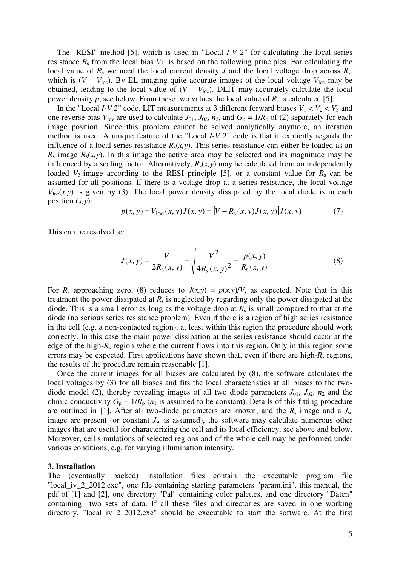The "RESI" method [5], which is used in "Local *I-V* 2" for calculating the local series resistance  $R_s$  from the local bias  $V_3$ , is based on the following principles. For calculating the local value of  $R_s$  we need the local current density *J* and the local voltage drop across  $R_s$ , which is  $(V - V_{loc})$ . By EL imaging quite accurate images of the local voltage  $V_{loc}$  may be obtained, leading to the local value of  $(V - V_{loc})$ . DLIT may accurately calculate the local power density  $p$ , see below. From these two values the local value of  $R_s$  is calculated [5].

In the "Local *I-V* 2" code, LIT measurements at 3 different forward biases  $V_1 < V_2 < V_3$  and one reverse bias  $V_{\text{rev}}$  are used to calculate  $J_{01}$ ,  $J_{02}$ ,  $n_2$ , and  $G_p = 1/R_p$  of (2) separately for each image position. Since this problem cannot be solved analytically anymore, an iteration method is used. A unique feature of the "Local *I-V* 2" code is that it explicitly regards the influence of a local series resistance  $R_s(x, y)$ . This series resistance can either be loaded as an  $R_s$  image  $R_s(x, y)$ . In this image the active area may be selected and its magnitude may be influenced by a scaling factor. Alternatively,  $R_s(x, y)$  may be calculated from an independently loaded  $V_3$ -image according to the RESI principle [5], or a constant value for  $R_s$  can be assumed for all positions. If there is a voltage drop at a series resistance, the local voltage  $V_{loc}(x, y)$  is given by (3). The local power density dissipated by the local diode is in each position (*x,y*):

$$
p(x, y) = V_{\text{loc}}(x, y)J(x, y) = [V - R_{\text{s}}(x, y)J(x, y)]J(x, y) \tag{7}
$$

This can be resolved to:

$$
J(x, y) = \frac{V}{2R_{\rm s}(x, y)} - \sqrt{\frac{V^2}{4R_{\rm s}(x, y)^2} - \frac{p(x, y)}{R_{\rm s}(x, y)}}
$$
(8)

For  $R_s$  approaching zero, (8) reduces to  $J(x, y) = p(x, y)/V$ , as expected. Note that in this treatment the power dissipated at *R*s is neglected by regarding only the power dissipated at the diode. This is a small error as long as the voltage drop at  $R<sub>s</sub>$  is small compared to that at the diode (no serious series resistance problem). Even if there is a region of high series resistance in the cell (e.g. a non-contacted region), at least within this region the procedure should work correctly. In this case the main power dissipation at the series resistance should occur at the edge of the high-*R*s region where the current flows into this region. Only in this region some errors may be expected. First applications have shown that, even if there are high-*R*s regions, the results of the procedure remain reasonable [1].

Once the current images for all biases are calculated by (8), the software calculates the local voltages by (3) for all biases and fits the local characteristics at all biases to the twodiode model (2), thereby revealing images of all two diode parameters  $J_{01}$ ,  $J_{02}$ ,  $n_2$  and the ohmic conductivity  $G_p = 1/R_p$  ( $n_1$  is assumed to be constant). Details of this fitting procedure are outlined in [1]. After all two-diode parameters are known, and the  $R_s$  image and a  $J_{sc}$ image are present (or constant  $J_{\rm sc}$  is assumed), the software may calculate numerous other images that are useful for characterizing the cell and its local efficiency, see above and below. Moreover, cell simulations of selected regions and of the whole cell may be performed under various conditions, e.g. for varying illumination intensity.

#### **3. Installation**

The (eventually packed) installation files contain the executable program file "local iv 2 2012.exe", one file containing starting parameters "param.ini", this manual, the pdf of [1] and [2], one directory "Pal" containing color palettes, and one directory "Daten" containing two sets of data. If all these files and directories are saved in one working directory, "local\_iv\_2\_2012.exe" should be executable to start the software. At the first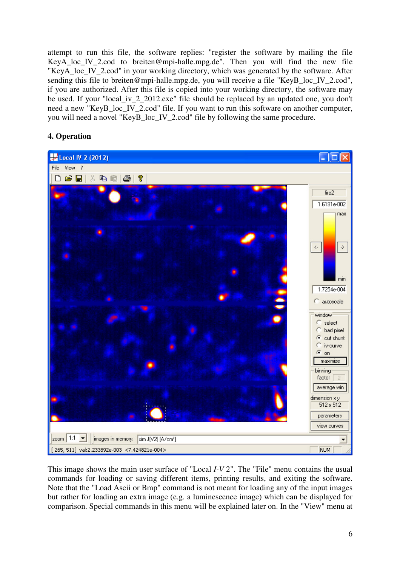attempt to run this file, the software replies: "register the software by mailing the file KeyA loc IV 2.cod to breiten@mpi-halle.mpg.de". Then you will find the new file "KeyA\_loc\_IV\_2.cod" in your working directory, which was generated by the software. After sending this file to breiten@mpi-halle.mpg.de, you will receive a file "KeyB\_loc\_IV\_2.cod", if you are authorized. After this file is copied into your working directory, the software may be used. If your "local\_iv\_2\_2012.exe" file should be replaced by an updated one, you don't need a new "KeyB\_loc\_IV\_2.cod" file. If you want to run this software on another computer, you will need a novel "KeyB\_loc\_IV\_2.cod" file by following the same procedure.

# **4. Operation**



This image shows the main user surface of "Local *I-V* 2". The "File" menu contains the usual commands for loading or saving different items, printing results, and exiting the software. Note that the "Load Ascii or Bmp" command is not meant for loading any of the input images but rather for loading an extra image (e.g. a luminescence image) which can be displayed for comparison. Special commands in this menu will be explained later on. In the "View" menu at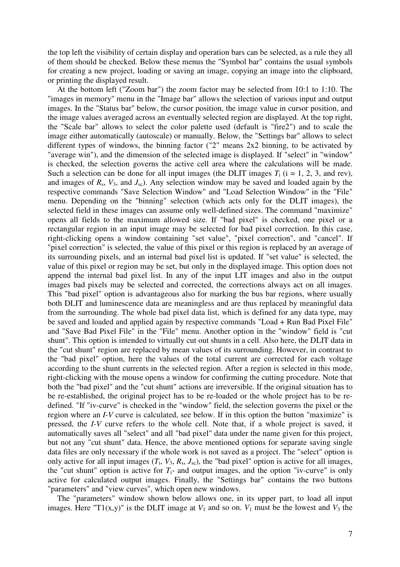the top left the visibility of certain display and operation bars can be selected, as a rule they all of them should be checked. Below these menus the "Symbol bar" contains the usual symbols for creating a new project, loading or saving an image, copying an image into the clipboard, or printing the displayed result.

At the bottom left ("Zoom bar") the zoom factor may be selected from 10:1 to 1:10. The "images in memory" menu in the "Image bar" allows the selection of various input and output images. In the "Status bar" below, the cursor position, the image value in cursor position, and the image values averaged across an eventually selected region are displayed. At the top right, the "Scale bar" allows to select the color palette used (default is "fire2") and to scale the image either automatically (autoscale) or manually. Below, the "Settings bar" allows to select different types of windows, the binning factor ("2" means 2x2 binning, to be activated by "average win"), and the dimension of the selected image is displayed. If "select" in "window" is checked, the selection governs the active cell area where the calculations will be made. Such a selection can be done for all input images (the DLIT images  $T_i$  ( $i = 1, 2, 3$ , and rev), and images of  $R_s$ ,  $V_3$ , and  $J_{sc}$ ). Any selection window may be saved and loaded again by the respective commands "Save Selection Window" and "Load Selection Window" in the "File" menu. Depending on the "binning" selection (which acts only for the DLIT images), the selected field in these images can assume only well-defined sizes. The command "maximize" opens all fields to the maximum allowed size. If "bad pixel" is checked, one pixel or a rectangular region in an input image may be selected for bad pixel correction. In this case, right-clicking opens a window containing "set value", "pixel correction", and "cancel". If "pixel correction" is selected, the value of this pixel or this region is replaced by an average of its surrounding pixels, and an internal bad pixel list is updated. If "set value" is selected, the value of this pixel or region may be set, but only in the displayed image. This option does not append the internal bad pixel list. In any of the input LIT images and also in the output images bad pixels may be selected and corrected, the corrections always act on all images. This "bad pixel" option is advantageous also for marking the bus bar regions, where usually both DLIT and luminescence data are meaningless and are thus replaced by meaningful data from the surrounding. The whole bad pixel data list, which is defined for any data type, may be saved and loaded and applied again by respective commands "Load + Run Bad Pixel File" and "Save Bad Pixel File" in the "File" menu. Another option in the "window" field is "cut shunt". This option is intended to virtually cut out shunts in a cell. Also here, the DLIT data in the "cut shunt" region are replaced by mean values of its surrounding. However, in contrast to the "bad pixel" option, here the values of the total current are corrected for each voltage according to the shunt currents in the selected region. After a region is selected in this mode, right-clicking with the mouse opens a window for confirming the cutting procedure. Note that both the "bad pixel" and the "cut shunt" actions are irreversible. If the original situation has to be re-established, the original project has to be re-loaded or the whole project has to be redefined. "If "iv-curve" is checked in the "window" field, the selection governs the pixel or the region where an *I-V* curve is calculated, see below. If in this option the button "maximize" is pressed, the *I-V* curve refers to the whole cell. Note that, if a whole project is saved, it automatically saves all "select" and all "bad pixel" data under the name given for this project, but not any "cut shunt" data. Hence, the above mentioned options for separate saving single data files are only necessary if the whole work is not saved as a project. The "select" option is only active for all input images  $(T_1, V_3, R_s, J_{sc})$ , the "bad pixel" option is active for all images, the "cut shunt" option is active for  $T_i$ - and output images, and the option "iv-curve" is only active for calculated output images. Finally, the "Settings bar" contains the two buttons "parameters" and "view curves", which open new windows.

The "parameters" window shown below allows one, in its upper part, to load all input images. Here "T1(x,y)" is the DLIT image at  $V_1$  and so on.  $V_1$  must be the lowest and  $V_3$  the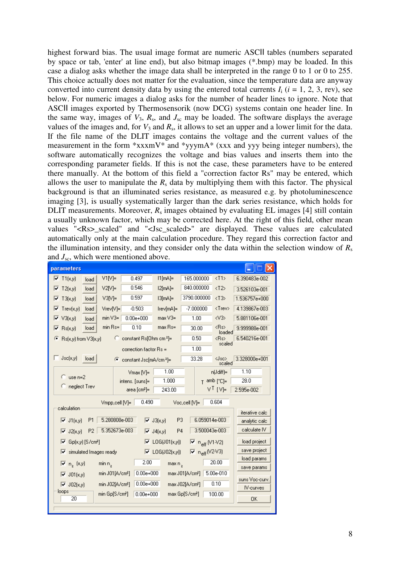highest forward bias. The usual image format are numeric ASCII tables (numbers separated by space or tab, 'enter' at line end), but also bitmap images (\*.bmp) may be loaded. In this case a dialog asks whether the image data shall be interpreted in the range 0 to 1 or 0 to 255. This choice actually does not matter for the evaluation, since the temperature data are anyway converted into current density data by using the entered total currents  $I_i$  ( $i = 1, 2, 3$ , rev), see below. For numeric images a dialog asks for the number of header lines to ignore. Note that ASCII images exported by Thermosensorik (now DCG) systems contain one header line. In the same way, images of  $V_3$ ,  $R_s$ , and  $J_{sc}$  may be loaded. The software displays the average values of the images and, for  $V_3$  and  $R_s$ , it allows to set an upper and a lower limit for the data. If the file name of the DLIT images contains the voltage and the current values of the measurement in the form \*xxxmV\* and \*yyymA\* (xxx and yyy being integer numbers), the software automatically recognizes the voltage and bias values and inserts them into the corresponding parameter fields. If this is not the case, these parameters have to be entered there manually. At the bottom of this field a "correction factor Rs" may be entered, which allows the user to manipulate the  $R_s$  data by multiplying them with this factor. The physical background is that an illuminated series resistance, as measured e.g. by photoluminescence imaging [3], is usually systematically larger than the dark series resistance, which holds for DLIT measurements. Moreover,  $R_s$  images obtained by evaluating EL images [4] still contain a usually unknown factor, which may be corrected here. At the right of this field, other mean values "<Rs>\_scaled" and "<Jsc\_scaled>" are displayed. These values are calculated automatically only at the main calculation procedure. They regard this correction factor and the illumination intensity, and they consider only the data within the selection window of  $R_s$ and  $J_{\rm sc}$ , which were mentioned above.

| parameters                                                                                                                          |                                              |                              |                                         |                                   |                             |
|-------------------------------------------------------------------------------------------------------------------------------------|----------------------------------------------|------------------------------|-----------------------------------------|-----------------------------------|-----------------------------|
| $V1[V]=$<br>$\overline{V}$ T1(x,y)<br>load                                                                                          | 0.497                                        | $11$ [mA]=                   | 165,000000                              | $\langle$ T1>                     | 6.390483e-002               |
| $V2[V]=$<br>$\overline{V}$ T2(x,y)<br>load                                                                                          | 0.546                                        | $12$ [mA]=                   | 840.000000                              | $\langle$ T2>                     | 3.526103e-001               |
| $V3[V]=$<br>$\overline{V}$ T3(x,y)<br>load                                                                                          | 0.597                                        | $ 3 mA =$                    | 3790.000000                             | $\langle$ T3>                     | 1.536757e+000               |
| $\nabla$ Trev(x,y)<br>load                                                                                                          | $-0.503$<br>$Vrev[V]=$                       | Irev[mA]=                    | $-7.000000$                             | <trev></trev>                     | 4.139867e-003               |
| $min V3=$<br>$\triangledown$ V3(x,y)<br>load                                                                                        | $0.00e + 000$                                | $max V3=$                    | 1.00                                    | $\langle$ V3>                     | 5.881106e-001               |
| $\overline{\triangledown}$ Rs(x,y)<br>load                                                                                          | $min$ Rs=<br>0.10                            | $max$ Rs=                    | 30.00                                   | <rs><br/>loaded</rs>              | 9.999988e-001               |
| Rs(x,y) from V3(x,y)<br>Г                                                                                                           | constant Rs[Ohm cm <sup>2</sup> ]=<br>o      |                              | 0.50                                    | <rs></rs>                         | 6.540216e-001               |
|                                                                                                                                     | correction factor $Rs =$                     |                              | 1.00                                    | scaled                            |                             |
| Jsc(x,y)<br>load                                                                                                                    | G.<br>constant Jsc[mA/cm <sup>2</sup> ]=     |                              | 33.28                                   | $\langle$ Jsc $\rangle$<br>scaled | 3.328000e+001               |
|                                                                                                                                     | $V$ max $[V]$ =                              | 1.00                         |                                         | n(Jdiff)=                         | 1.10                        |
| $\degree$ use n=2<br>C neglect Trev                                                                                                 | intens. [suns]=                              | 1.000                        |                                         | $T$ amb $[^{\circ}C]=$            | 28.0                        |
|                                                                                                                                     | area [cm²]=                                  | 243.00                       |                                         | $V^{\top}$ [V]=                   | 2.595e-002                  |
| 0.490<br>0.604<br>Vmpp.cell [V]=<br>Voc.cell M=<br>calculation                                                                      |                                              |                              |                                         |                                   |                             |
| iterative calc                                                                                                                      |                                              |                              |                                         |                                   |                             |
| 5.280808e-003<br>6.059014e-003<br>P <sub>3</sub><br>P <sub>1</sub><br>$\overline{\triangledown}$ J3(x,y)<br>$\triangledown$ J1(x,y) |                                              |                              | analytic calc<br>calculate IV           |                                   |                             |
| 3.500043e-003<br>5.352673e-003<br>P <sub>2</sub><br>P4<br>$\overline{V}$ J2(x,y)<br>$\overline{V}$ J4(x,y)                          |                                              |                              |                                         |                                   |                             |
| Gp(x,y) [S/cm <sup>2</sup> ]<br>$\nabla$ LOG(J01(x,y))<br>⊽<br>$\overline{M}$ n <sub>eff</sub> (V1⋅V2)                              |                                              |                              | load project                            |                                   |                             |
| simulated Images ready<br>⊽                                                                                                         |                                              | $\overline{V}$ LOG(J02(x,y)) | $\overline{M}$ n <sub>eff</sub> (V2-V3) |                                   | save project<br>load params |
| $n_z$ (x,y)<br>$min n$ ,<br>R.                                                                                                      | 2.00                                         | max n,                       |                                         | 20.00                             | save params                 |
| $\nabla$ J01(x,y)                                                                                                                   | $0.00e + 000$<br>min J01[A/cm <sup>2</sup> ] |                              | max J01[A/cm <sup>2</sup> ]             | 5.00e-010                         |                             |
| $\overline{V}$ J02(x,y)                                                                                                             | $0.00e + 000$<br>min J02[A/cm <sup>2</sup> ] |                              | max J02[A/cm <sup>2</sup> ]             | 0.10                              | suns Voc-curv.<br>IV-curves |
| loops<br>20                                                                                                                         | min Gp[S/cm <sup>2</sup> ]<br>$0.00e + 000$  |                              | max Gp[S/cm <sup>2</sup> ]              | 100.00                            |                             |
|                                                                                                                                     |                                              |                              |                                         |                                   | 0K                          |
|                                                                                                                                     |                                              |                              |                                         |                                   |                             |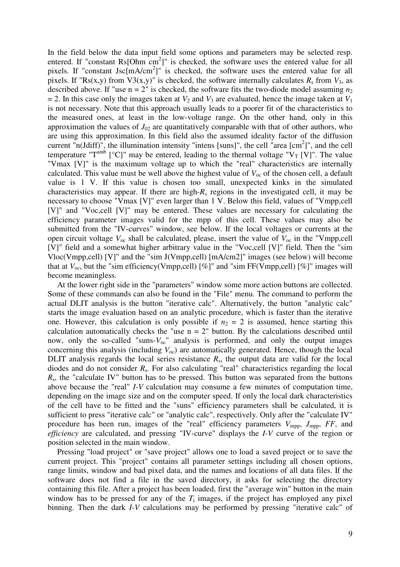In the field below the data input field some options and parameters may be selected resp. entered. If "constant  $\text{Rs}[\text{Ohm cm}^2]$ " is checked, the software uses the entered value for all pixels. If "constant Jsc $[mA/cm^2]$ " is checked, the software uses the entered value for all pixels. If "Rs(x,y) from V3(x,y)" is checked, the software internally calculates  $R_s$  from  $V_3$ , as described above. If "use  $n = 2$ " is checked, the software fits the two-diode model assuming  $n_2$  $= 2$ . In this case only the images taken at  $V_2$  and  $V_3$  are evaluated, hence the image taken at  $V_1$ is not necessary. Note that this approach usually leads to a poorer fit of the characteristics to the measured ones, at least in the low-voltage range. On the other hand, only in this approximation the values of  $J_{02}$  are quantitatively comparable with that of other authors, who are using this approximation. In this field also the assumed ideality factor of the diffusion current "n(Jdiff)", the illumination intensity "intens [suns]", the cell "area  $[cm^2]$ ", and the cell temperature "T<sup>amb</sup> [°C]" may be entered, leading to the thermal voltage " $V_T$  [V]". The value "Vmax [V]" is the maximum voltage up to which the "real" characteristics are internally calculated. This value must be well above the highest value of  $V_{\text{oc}}$  of the chosen cell, a default value is 1 V. If this value is chosen too small, unexpected kinks in the simulated characteristics may appear. If there are high-*R*s regions in the investigated cell, it may be necessary to choose "Vmax [V]" even larger than 1 V. Below this field, values of "Vmpp,cell [V]" and "Voc,cell [V]" may be entered. These values are necessary for calculating the efficiency parameter images valid for the mpp of this cell. These values may also be submitted from the "IV-curves" window, see below. If the local voltages or currents at the open circuit voltage  $V_{\text{oc}}$  shall be calculated, please, insert the value of  $V_{\text{oc}}$  in the "Vmpp,cell [V]" field and a somewhat higher arbitrary value in the "Voc,cell [V]" field. Then the "sim Vloc(Vmpp,cell) [V]" and the "sim J(Vmpp,cell) [mA/cm2]" images (see below) will become that at  $V_{\text{oc}}$ , but the "sim efficiency(Vmpp,cell)  $[\%]$ " and "sim FF(Vmpp,cell)  $[\%]$ " images will become meaningless.

At the lower right side in the "parameters" window some more action buttons are collected. Some of these commands can also be found in the "File" menu. The command to perform the actual DLIT analysis is the button "iterative calc". Alternatively, the button "analytic calc" starts the image evaluation based on an analytic procedure, which is faster than the iterative one. However, this calculation is only possible if  $n_2 = 2$  is assumed, hence starting this calculation automatically checks the "use  $n = 2$ " button. By the calculations described until now, only the so-called "suns- $V_{oc}$ " analysis is performed, and only the output images concerning this analysis (including  $V_{\text{oc}}$ ) are automatically generated. Hence, though the local DLIT analysis regards the local series resistance  $R<sub>s</sub>$ , the output data are valid for the local diodes and do not consider *R*s. For also calculating "real" characteristics regarding the local *R<sub>s</sub>*, the "calculate IV" button has to be pressed. This button was separated from the buttons above because the "real" *I-V* calculation may consume a few minutes of computation time, depending on the image size and on the computer speed. If only the local dark characteristics of the cell have to be fitted and the "suns" efficiency parameters shall be calculated, it is sufficient to press "iterative calc" or "analytic calc", respectively. Only after the "calculate IV" procedure has been run, images of the "real" efficiency parameters  $V_{\text{mpo}}$ ,  $J_{\text{mpo}}$ ,  $FF$ , and *efficiency* are calculated, and pressing "IV-curve" displays the *I-V* curve of the region or position selected in the main window.

Pressing "load project" or "save project" allows one to load a saved project or to save the current project. This "project" contains all parameter settings including all chosen options, range limits, window and bad pixel data, and the names and locations of all data files. If the software does not find a file in the saved directory, it asks for selecting the directory containing this file. After a project has been loaded, first the "average win" button in the main window has to be pressed for any of the  $T_i$  images, if the project has employed any pixel binning. Then the dark *I-V* calculations may be performed by pressing "iterative calc" of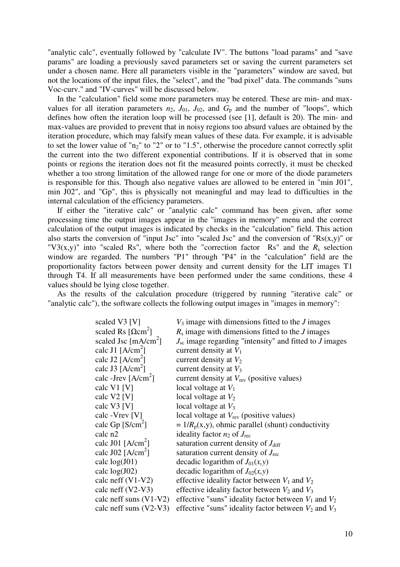"analytic calc", eventually followed by "calculate IV". The buttons "load params" and "save params" are loading a previously saved parameters set or saving the current parameters set under a chosen name. Here all parameters visible in the "parameters" window are saved, but not the locations of the input files, the "select", and the "bad pixel" data. The commands "suns Voc-curv." and "IV-curves" will be discussed below.

In the "calculation" field some more parameters may be entered. These are min- and maxvalues for all iteration parameters  $n_2$ ,  $J_{01}$ ,  $J_{02}$ , and  $G_p$  and the number of "loops", which defines how often the iteration loop will be processed (see [1], default is 20). The min- and max-values are provided to prevent that in noisy regions too absurd values are obtained by the iteration procedure, which may falsify mean values of these data. For example, it is advisable to set the lower value of " $n<sub>2</sub>$ " to "2" or to "1.5", otherwise the procedure cannot correctly split the current into the two different exponential contributions. If it is observed that in some points or regions the iteration does not fit the measured points correctly, it must be checked whether a too strong limitation of the allowed range for one or more of the diode parameters is responsible for this. Though also negative values are allowed to be entered in "min J01", min J02", and "Gp", this is physically not meaningful and may lead to difficulties in the internal calculation of the efficiency parameters.

If either the "iterative calc" or "analytic calc" command has been given, after some processing time the output images appear in the "images in memory" menu and the correct calculation of the output images is indicated by checks in the "calculation" field. This action also starts the conversion of "input Jsc" into "scaled Jsc" and the conversion of " $Rs(x,y)$ " or "V3(x,y)" into "scaled Rs", where both the "correction factor Rs" and the  $R_s$  selection window are regarded. The numbers "P1" through "P4" in the "calculation" field are the proportionality factors between power density and current density for the LIT images T1 through T4. If all measurements have been performed under the same conditions, these 4 values should be lying close together.

As the results of the calculation procedure (triggered by running "iterative calc" or "analytic calc"), the software collects the following output images in "images in memory":

| scaled V3 [V]                            | $V_3$ image with dimensions fitted to the $J$ images            |
|------------------------------------------|-----------------------------------------------------------------|
| scaled Rs $[\Omega \text{cm}^2]$         | $R_s$ image with dimensions fitted to the $J$ images            |
| scaled Jsc $\left[\text{mA/cm}^2\right]$ | $J_{\rm sc}$ image regarding "intensity" and fitted to J images |
| calc J1 $[A/cm^2]$                       | current density at $V_1$                                        |
| calc J2 [ $A/cm2$ ]                      | current density at $V_2$                                        |
| calc J3 $[A/cm^2]$                       | current density at $V_3$                                        |
| calc -Jrev $[A/cm^2]$                    | current density at $V_{\text{rev}}$ (positive values)           |
| calc V1 [V]                              | local voltage at $V_1$                                          |
| calc $V2$ [V]                            | local voltage at $V_2$                                          |
| calc $V3$ [V]                            | local voltage at $V_3$                                          |
| calc - Vrev [V]                          | local voltage at $V_{\text{rev}}$ (positive values)             |
| calc Gp $[S/cm^2]$                       | $= 1/R_p(x,y)$ , ohmic parallel (shunt) conductivity            |
| calc n2                                  | ideality factor $n_2$ of $J_{\text{rec}}$                       |
| calc J01 $[A/cm^2]$                      | saturation current density of $J_{\text{diff}}$                 |
| calc J02 [ $A/cm2$ ]                     | saturation current density of $J_{\text{rec}}$                  |
| calc $log(J01)$                          | decadic logarithm of $J_{01}(x, y)$                             |
| calc $log(J02)$                          | decadic logarithm of $J_{02}(x, y)$                             |
| calc neff $(V1-V2)$                      | effective ideality factor between $V_1$ and $V_2$               |
| calc neff $(V2-V3)$                      | effective ideality factor between $V_2$ and $V_3$               |
| calc neff suns $(V1-V2)$                 | effective "suns" ideality factor between $V_1$ and $V_2$        |
| calc neff suns $(V2-V3)$                 | effective "suns" ideality factor between $V_2$ and $V_3$        |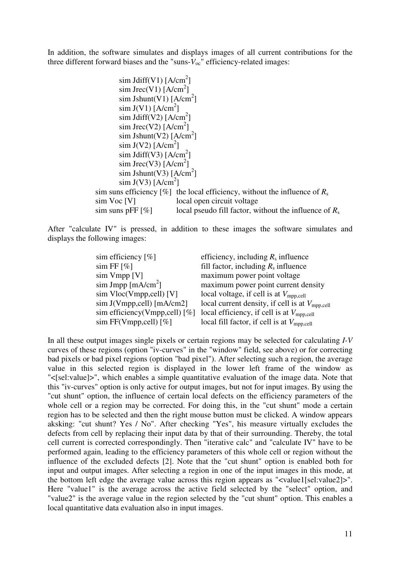In addition, the software simulates and displays images of all current contributions for the three different forward biases and the "suns- $V_{\text{oc}}$ " efficiency-related images:

```
\sin\text{Jdiff(V1)} [A/cm<sup>2</sup>]
sim Jrec(V1) [A/cm<sup>2</sup>]
\sin Jshunt(V1) [A/cm<sup>2</sup>]
\sin J(V1) [A/cm<sup>2</sup>]
\sin \text{Jdiff(V2)} [A/cm<sup>2</sup>]
sim Jrec(V2) [A/cm<sup>2</sup>]
\sin Jshunt(V2) [A/cm<sup>2</sup>]
\sin J(V2) [A/cm<sup>2</sup>]
\sin \text{Jdiff(V3)} [A/cm<sup>2</sup>]
sim Jrec(V3) [A/cm<sup>2</sup>]
\sin Jshunt(V3) [A/cm<sup>2</sup>]
\sin J(V3) [A/cm<sup>2</sup>]
           sim suns efficiency [\%] the local efficiency, without the influence of R_ssim Voc [V] local open circuit voltage
           sim suns pFF [\%] local pseudo fill factor, without the influence of R_s
```
After "calculate IV" is pressed, in addition to these images the software simulates and displays the following images:

| sim efficiency $[\%]$                   | efficiency, including $R_s$ influence                      |
|-----------------------------------------|------------------------------------------------------------|
| $\sin FF$ [%]                           | fill factor, including $R_s$ influence                     |
| $\sin V$ mpp $[V]$                      | maximum power point voltage                                |
| $\sin\text{Jmpp}$ [mA/cm <sup>2</sup> ] | maximum power point current density                        |
| $\sin$ Vloc(Vmpp, cell) [V]             | local voltage, if cell is at $V_{\text{mpp,cell}}$         |
| $\sin J(Vmpp,cell)$ [mA/cm2]            | local current density, if cell is at $V_{\text{mpp,cell}}$ |
| sim efficiency(Vmpp,cell) [%]           | local efficiency, if cell is at $V_{\text{mpp,cell}}$      |
| sim FF(Vmpp, cell) $[\%]$               | local fill factor, if cell is at $V_{\text{mpp,cell}}$     |

In all these output images single pixels or certain regions may be selected for calculating *I-V* curves of these regions (option "iv-curves" in the "window" field, see above) or for correcting bad pixels or bad pixel regions (option "bad pixel"). After selecting such a region, the average value in this selected region is displayed in the lower left frame of the window as "<[sel:value]>", which enables a simple quantitative evaluation of the image data. Note that this "iv-curves" option is only active for output images, but not for input images. By using the "cut shunt" option, the influence of certain local defects on the efficiency parameters of the whole cell or a region may be corrected. For doing this, in the "cut shunt" mode a certain region has to be selected and then the right mouse button must be clicked. A window appears aksking: "cut shunt? Yes / No". After checking "Yes", his measure virtually excludes the defects from cell by replacing their input data by that of their surrounding. Thereby, the total cell current is corrected correspondingly. Then "iterative calc" and "calculate IV" have to be performed again, leading to the efficiency parameters of this whole cell or region without the influence of the excluded defects [2]. Note that the "cut shunt" option is enabled both for input and output images. After selecting a region in one of the input images in this mode, at the bottom left edge the average value across this region appears as "<value1[sel:value2]>". Here "value1" is the average across the active field selected by the "select" option, and "value2" is the average value in the region selected by the "cut shunt" option. This enables a local quantitative data evaluation also in input images.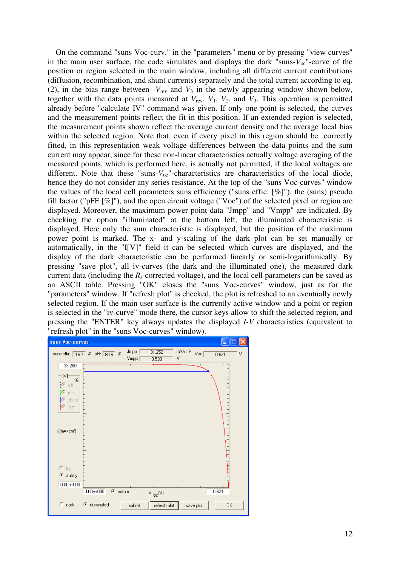On the command "suns Voc-curv." in the "parameters" menu or by pressing "view curves" in the main user surface, the code simulates and displays the dark "suns- $V_{\text{oc}}$ "-curve of the position or region selected in the main window, including all different current contributions (diffusion, recombination, and shunt currents) separately and the total current according to eq. (2), in the bias range between  $-V_{rev}$  and  $V_3$  in the newly appearing window shown below, together with the data points measured at  $V_{rev}$ ,  $V_1$ ,  $V_2$ , and  $V_3$ . This operation is permitted already before "calculate IV" command was given. If only one point is selected, the curves and the measurement points reflect the fit in this position. If an extended region is selected, the measurement points shown reflect the average current density and the average local bias within the selected region. Note that, even if every pixel in this region should be correctly fitted, in this representation weak voltage differences between the data points and the sum current may appear, since for these non-linear characteristics actually voltage averaging of the measured points, which is performed here, is actually not permitted, if the local voltages are different. Note that these "suns- $V_{oc}$ "-characteristics are characteristics of the local diode, hence they do not consider any series resistance. At the top of the "suns Voc-curves" window the values of the local cell parameters suns efficiency ("suns effic.  $[\%]$ "), the (suns) pseudo fill factor ("pFF [%]"), and the open circuit voltage ("Voc") of the selected pixel or region are displayed. Moreover, the maximum power point data "Jmpp" and "Vmpp" are indicated. By checking the option "illuminated" at the bottom left, the illuminated characteristic is displayed. Here only the sum characteristic is displayed, but the position of the maximum power point is marked. The x- and y-scaling of the dark plot can be set manually or automatically, in the "I[V]" field it can be selected which curves are displayed, and the display of the dark characteristic can be performed linearly or semi-logarithmically. By pressing "save plot", all iv-curves (the dark and the illuminated one), the measured dark current data (including the  $R_s$ -corrected voltage), and the local cell parameters can be saved as an ASCII table. Pressing "OK" closes the "suns Voc-curves" window, just as for the "parameters" window. If "refresh plot" is checked, the plot is refreshed to an eventually newly selected region. If the main user surface is the currently active window and a point or region is selected in the "iv-curve" mode there, the cursor keys allow to shift the selected region, and pressing the "ENTER" key always updates the displayed *I-V* characteristics (equivalent to "refresh plot" in the "suns Voc-curves" window).

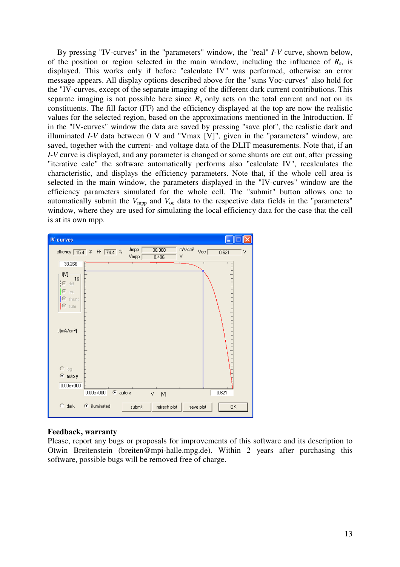By pressing "IV-curves" in the "parameters" window, the "real" *I-V* curve, shown below, of the position or region selected in the main window, including the influence of  $R_s$ , is displayed. This works only if before "calculate IV" was performed, otherwise an error message appears. All display options described above for the "suns Voc-curves" also hold for the "IV-curves, except of the separate imaging of the different dark current contributions. This separate imaging is not possible here since  $R_s$  only acts on the total current and not on its constituents. The fill factor (FF) and the efficiency displayed at the top are now the realistic values for the selected region, based on the approximations mentioned in the Introduction. If in the "IV-curves" window the data are saved by pressing "save plot", the realistic dark and illuminated *I-V* data between 0 V and "Vmax [V]", given in the "parameters" window, are saved, together with the current- and voltage data of the DLIT measurements. Note that, if an *I-V* curve is displayed, and any parameter is changed or some shunts are cut out, after pressing "iterative calc" the software automatically performs also "calculate IV", recalculates the characteristic, and displays the efficiency parameters. Note that, if the whole cell area is selected in the main window, the parameters displayed in the "IV-curves" window are the efficiency parameters simulated for the whole cell. The "submit" button allows one to automatically submit the  $V_{\text{mpp}}$  and  $V_{\text{oc}}$  data to the respective data fields in the "parameters" window, where they are used for simulating the local efficiency data for the case that the cell is at its own mpp.

| <b>IV-curves</b>                                              |                                                                                                              |
|---------------------------------------------------------------|--------------------------------------------------------------------------------------------------------------|
|                                                               | mA/cm <sup>2</sup><br>Jmpp<br>30.968<br>Voc<br>effiency 15.4 % FF 74.4 %<br>٧<br>0.621<br>٧<br>Vmpp<br>0.496 |
| 33.266                                                        | $\mathsf I$                                                                                                  |
| IM)<br>16<br>[© diff<br>$C$ red<br> C <br>shunt<br> C <br>sum |                                                                                                              |
| J[mA/cm <sup>2</sup> ]                                        |                                                                                                              |
| $\bigcap$ log                                                 |                                                                                                              |
| © autoy                                                       |                                                                                                              |
| $0.00e + 000$                                                 | $\bullet$ auto x<br>0.621<br>$0.00e + 000$<br>٧<br>$[ \mathsf{V} ]$                                          |
| C.<br>dark                                                    | C illuminated<br>refresh plot<br>submit<br>save plot<br>0K                                                   |

## **Feedback, warranty**

Please, report any bugs or proposals for improvements of this software and its description to Otwin Breitenstein (breiten@mpi-halle.mpg.de). Within 2 years after purchasing this software, possible bugs will be removed free of charge.